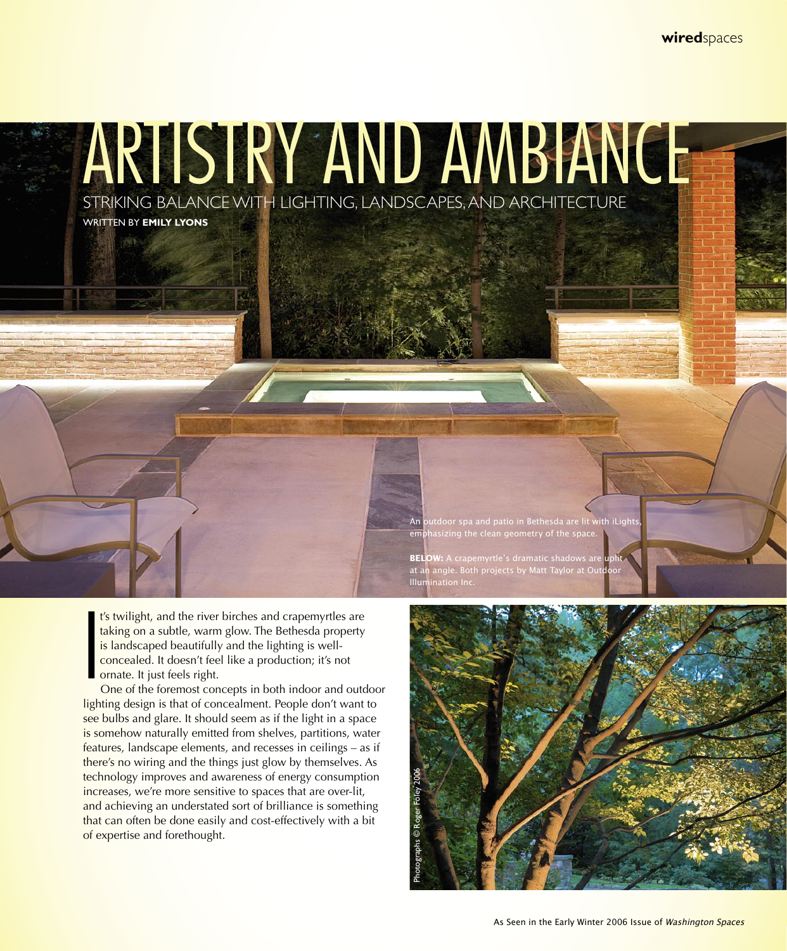**wired**spaces

ARTISTRY AND AMBIANCE

STRIKING BALANCE WITH LIGHTING, LANDSCAPES, AND ARCHITECTURE

WRITTEN BY **EMILY LYONS**

I t's twilight, and the river birches and crapemyrtles are taking on a subtle, warm glow. The Bethesda property is landscaped beautifully and the lighting is wellconcealed. It doesn't feel like a production; it's not ornate. It just feels right.

One of the foremost concepts in both indoor and outdoor lighting design is that of concealment. People don't want to see bulbs and glare. It should seem as if the light in a space is somehow naturally emitted from shelves, partitions, water features, landscape elements, and recesses in ceilings – as if there's no wiring and the things just glow by themselves. As technology improves and awareness of energy consumption increases, we're more sensitive to spaces that are over-lit, and achieving an understated sort of brilliance is something that can often be done easily and cost-effectively with a bit of expertise and forethought.

utdoor spa and patio in Bethesda are lit with iLight: emphasizing the clean geometry of the space.

angle. Both projects by Matt Taylor Illumination Inc.

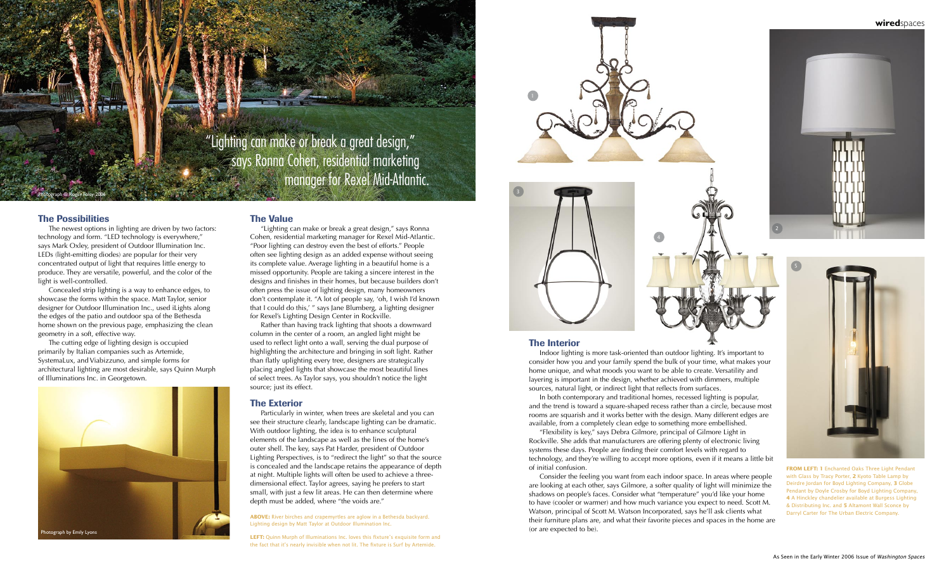## The Possibilities

The newest options in lighting are driven by two factors: technology and form. "LED technology is everywhere," says Mark Oxley, president of Outdoor Illumination Inc. LEDs (light-emitting diodes) are popular for their very concentrated output of light that requires little energy to produce. They are versatile, powerful, and the color of the light is well-controlled.

Concealed strip lighting is a way to enhance edges, to showcase the forms within the space. Matt Taylor, senior designer for Outdoor Illumination Inc., used iLights along the edges of the patio and outdoor spa of the Bethesda home shown on the previous page, emphasizing the clean geometry in a soft, effective way.

The cutting edge of lighting design is occupied primarily by Italian companies such as Artemide, SystemaLux, and Viabizzuno, and simple forms for architectural lighting are most desirable, says Quinn Murph of Illuminations Inc. in Georgetown.

### The Interior

Indoor lighting is more task-oriented than outdoor lighting. It's important to consider how you and your family spend the bulk of your time, what makes your home unique, and what moods you want to be able to create. Versatility and layering is important in the design, whether achieved with dimmers, multiple sources, natural light, or indirect light that reflects from surfaces.

"Lighting can make or break a great design," **Says Ronna Cohen, residential marketing Expanding manager for Rexel Mid-Atlantic.** 

> In both contemporary and traditional homes, recessed lighting is popular, and the trend is toward a square-shaped recess rather than a circle, because most rooms are squarish and it works better with the design. Many different edges are available, from a completely clean edge to something more embellished. "Flexibility is key," says Debra Gilmore, principal of Gilmore Light in Rockville. She adds that manufacturers are offering plenty of electronic living systems these days. People are finding their comfort levels with regard to technology, and they're willing to accept more options, even if it means a little bit

> of initial confusion.

Consider the feeling you want from each indoor space. In areas where people are looking at each other, says Gilmore, a softer quality of light will minimize the shadows on people's faces. Consider what "temperature" you'd like your home to have (cooler or warmer) and how much variance you expect to need. Scott M. Watson, principal of Scott M. Watson Incorporated, says he'll ask clients what their furniture plans are, and what their favorite pieces and spaces in the home are (or are expected to be).

LEFT: Quinn Murph of Illuminations Inc. loves this fixture's exquisite form and the fact that it's nearly invisible when not lit. The fixture is Surf by Artemide.

#### The Value

"Lighting can make or break a great design," says Ronna Cohen, residential marketing manager for Rexel Mid-Atlantic. "Poor lighting can destroy even the best of efforts." People often see lighting design as an added expense without seeing its complete value. Average lighting in a beautiful home is a missed opportunity. People are taking a sincere interest in the designs and finishes in their homes, but because builders don't often press the issue of lighting design, many homeowners don't contemplate it. "A lot of people say, 'oh, I wish I'd known that I could do this,' " says Jane Blumberg, a lighting designer for Rexel's Lighting Design Center in Rockville.

Rather than having track lighting that shoots a downward column in the center of a room, an angled light might be used to reflect light onto a wall, serving the dual purpose of highlighting the architecture and bringing in soft light. Rather than flatly uplighting every tree, designers are strategically placing angled lights that showcase the most beautiful lines of select trees. As Taylor says, you shouldn't notice the light source; just its effect.

#### The Exterior

Particularly in winter, when trees are skeletal and you can see their structure clearly, landscape lighting can be dramatic. With outdoor lighting, the idea is to enhance sculptural elements of the landscape as well as the lines of the home's outer shell. The key, says Pat Harder, president of Outdoor Lighting Perspectives, is to "redirect the light" so that the source is concealed and the landscape retains the appearance of depth at night. Multiple lights will often be used to achieve a threedimensional effect. Taylor agrees, saying he prefers to start small, with just a few lit areas. He can then determine where depth must be added, where "the voids are."

Photograph © Roger Foley 2006

**ABOVE:** River birches and crapemyrtles are aglow in a Bethesda backyard. Lighting design by Matt Taylor at Outdoor Illumination Inc.



**FROM LEFT: 1** Enchanted Oaks Three Light Pendant with Glass by Tracy Porter, **2** Kyoto Table Lamp by Deirdre Jordan for Boyd Lighting Company, **3** Globe Pendant by Doyle Crosby for Boyd Lighting Company, **4** A Hinckley chandelier available at Burgess Lighting & Distributing Inc. and **5** Altamont Wall Sconce by Darryl Carter for The Urban Electric Company.

# **wired**spaces